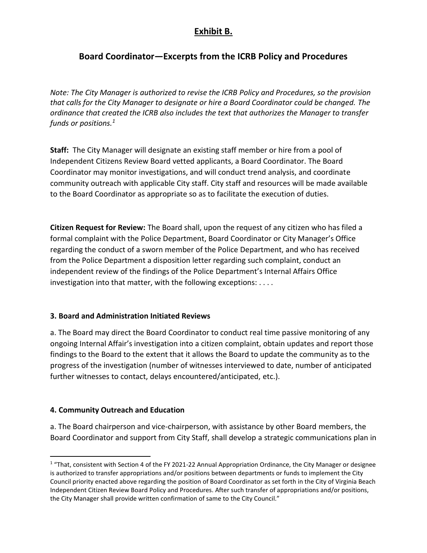## **Exhibit B.**

# **Board Coordinator—Excerpts from the ICRB Policy and Procedures**

*Note: The City Manager is authorized to revise the ICRB Policy and Procedures, so the provision that calls for the City Manager to designate or hire a Board Coordinator could be changed. The ordinance that created the ICRB also includes the text that authorizes the Manager to transfer funds or positions.<sup>1</sup>*

**Staff:** The City Manager will designate an existing staff member or hire from a pool of Independent Citizens Review Board vetted applicants, a Board Coordinator. The Board Coordinator may monitor investigations, and will conduct trend analysis, and coordinate community outreach with applicable City staff. City staff and resources will be made available to the Board Coordinator as appropriate so as to facilitate the execution of duties.

**Citizen Request for Review:** The Board shall, upon the request of any citizen who has filed a formal complaint with the Police Department, Board Coordinator or City Manager's Office regarding the conduct of a sworn member of the Police Department, and who has received from the Police Department a disposition letter regarding such complaint, conduct an independent review of the findings of the Police Department's Internal Affairs Office investigation into that matter, with the following exceptions: . . . .

### **3. Board and Administration Initiated Reviews**

a. The Board may direct the Board Coordinator to conduct real time passive monitoring of any ongoing Internal Affair's investigation into a citizen complaint, obtain updates and report those findings to the Board to the extent that it allows the Board to update the community as to the progress of the investigation (number of witnesses interviewed to date, number of anticipated further witnesses to contact, delays encountered/anticipated, etc.).

### **4. Community Outreach and Education**

a. The Board chairperson and vice-chairperson, with assistance by other Board members, the Board Coordinator and support from City Staff, shall develop a strategic communications plan in

 $1$  "That, consistent with Section 4 of the FY 2021-22 Annual Appropriation Ordinance, the City Manager or designee is authorized to transfer appropriations and/or positions between departments or funds to implement the City Council priority enacted above regarding the position of Board Coordinator as set forth in the City of Virginia Beach Independent Citizen Review Board Policy and Procedures. After such transfer of appropriations and/or positions, the City Manager shall provide written confirmation of same to the City Council."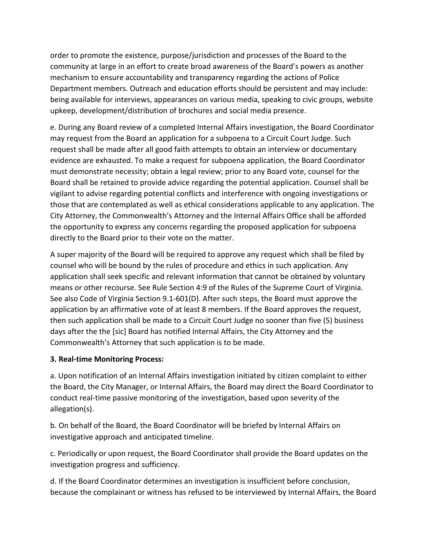order to promote the existence, purpose/jurisdiction and processes of the Board to the community at large in an effort to create broad awareness of the Board's powers as another mechanism to ensure accountability and transparency regarding the actions of Police Department members. Outreach and education efforts should be persistent and may include: being available for interviews, appearances on various media, speaking to civic groups, website upkeep, development/distribution of brochures and social media presence.

e. During any Board review of a completed Internal Affairs investigation, the Board Coordinator may request from the Board an application for a subpoena to a Circuit Court Judge. Such request shall be made after all good faith attempts to obtain an interview or documentary evidence are exhausted. To make a request for subpoena application, the Board Coordinator must demonstrate necessity; obtain a legal review; prior to any Board vote, counsel for the Board shall be retained to provide advice regarding the potential application. Counsel shall be vigilant to advise regarding potential conflicts and interference with ongoing investigations or those that are contemplated as well as ethical considerations applicable to any application. The City Attorney, the Commonwealth's Attorney and the Internal Affairs Office shall be afforded the opportunity to express any concerns regarding the proposed application for subpoena directly to the Board prior to their vote on the matter.

A super majority of the Board will be required to approve any request which shall be filed by counsel who will be bound by the rules of procedure and ethics in such application. Any application shall seek specific and relevant information that cannot be obtained by voluntary means or other recourse. See Rule Section 4:9 of the Rules of the Supreme Court of Virginia. See also Code of Virginia Section 9.1-601(D). After such steps, the Board must approve the application by an affirmative vote of at least 8 members. If the Board approves the request, then such application shall be made to a Circuit Court Judge no sooner than five (5) business days after the the [sic] Board has notified Internal Affairs, the City Attorney and the Commonwealth's Attorney that such application is to be made.

### **3. Real-time Monitoring Process:**

a. Upon notification of an Internal Affairs investigation initiated by citizen complaint to either the Board, the City Manager, or Internal Affairs, the Board may direct the Board Coordinator to conduct real-time passive monitoring of the investigation, based upon severity of the allegation(s).

b. On behalf of the Board, the Board Coordinator will be briefed by Internal Affairs on investigative approach and anticipated timeline.

c. Periodically or upon request, the Board Coordinator shall provide the Board updates on the investigation progress and sufficiency.

d. If the Board Coordinator determines an investigation is insufficient before conclusion, because the complainant or witness has refused to be interviewed by Internal Affairs, the Board